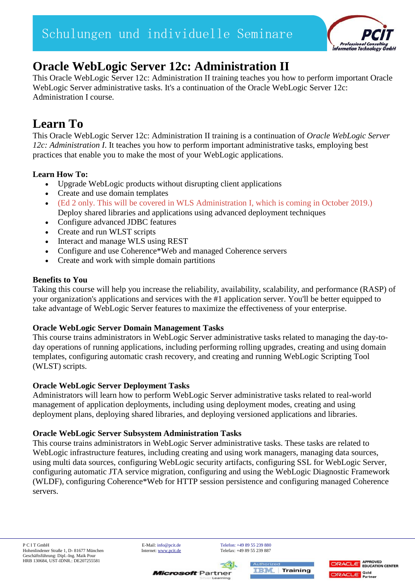

# **Oracle WebLogic Server 12c: Administration II**

This Oracle WebLogic Server 12c: Administration II training teaches you how to perform important Oracle WebLogic Server administrative tasks. It's a continuation of the Oracle WebLogic Server 12c: Administration I course.

# **Learn To**

This Oracle WebLogic Server 12c: Administration II training is a continuation of *Oracle WebLogic Server 12c: Administration I*. It teaches you how to perform important administrative tasks, employing best practices that enable you to make the most of your WebLogic applications.

# **Learn How To:**

- Upgrade WebLogic products without disrupting client applications
- Create and use domain templates
- (Ed 2 only. This will be covered in WLS Administration I, which is coming in October 2019.) Deploy shared libraries and applications using advanced deployment techniques
- Configure advanced JDBC features
- Create and run WLST scripts
- Interact and manage WLS using REST
- Configure and use Coherence\*Web and managed Coherence servers
- Create and work with simple domain partitions

## **Benefits to You**

Taking this course will help you increase the reliability, availability, scalability, and performance (RASP) of your organization's applications and services with the #1 application server. You'll be better equipped to take advantage of WebLogic Server features to maximize the effectiveness of your enterprise.

## **Oracle WebLogic Server Domain Management Tasks**

This course trains administrators in WebLogic Server administrative tasks related to managing the day-today operations of running applications, including performing rolling upgrades, creating and using domain templates, configuring automatic crash recovery, and creating and running WebLogic Scripting Tool (WLST) scripts.

## **Oracle WebLogic Server Deployment Tasks**

Administrators will learn how to perform WebLogic Server administrative tasks related to real-world management of application deployments, including using deployment modes, creating and using deployment plans, deploying shared libraries, and deploying versioned applications and libraries.

### **Oracle WebLogic Server Subsystem Administration Tasks**

This course trains administrators in WebLogic Server administrative tasks. These tasks are related to WebLogic infrastructure features, including creating and using work managers, managing data sources, using multi data sources, configuring WebLogic security artifacts, configuring SSL for WebLogic Server, configuring automatic JTA service migration, configuring and using the WebLogic Diagnostic Framework (WLDF), configuring Coherence\*Web for HTTP session persistence and configuring managed Coherence servers.

**Microsoft** Partner



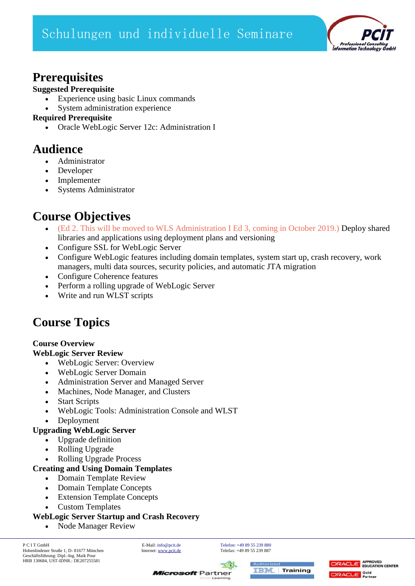Schulungen und individuelle Seminare



# **Prerequisites**

### **Suggested Prerequisite**

- Experience using basic Linux commands
- System administration experience

### **Required Prerequisite**

Oracle WebLogic Server 12c: Administration I

# **Audience**

- Administrator
- Developer
- Implementer
- Systems Administrator

# **Course Objectives**

- (Ed 2. This will be moved to WLS Administration I Ed 3, coming in October 2019.) Deploy shared libraries and applications using deployment plans and versioning
- Configure SSL for WebLogic Server
- Configure WebLogic features including domain templates, system start up, crash recovery, work managers, multi data sources, security policies, and automatic JTA migration
- Configure Coherence features
- Perform a rolling upgrade of WebLogic Server
- Write and run WLST scripts

# **Course Topics**

## **Course Overview**

### **WebLogic Server Review**

- WebLogic Server: Overview
- WebLogic Server Domain
- Administration Server and Managed Server
- Machines, Node Manager, and Clusters
- Start Scripts
- WebLogic Tools: Administration Console and WLST
- Deployment

## **Upgrading WebLogic Server**

- Upgrade definition
- Rolling Upgrade
- Rolling Upgrade Process

## **Creating and Using Domain Templates**

- Domain Template Review
- Domain Template Concepts
- Extension Template Concepts
- Custom Templates

## **WebLogic Server Startup and Crash Recovery**

• Node Manager Review





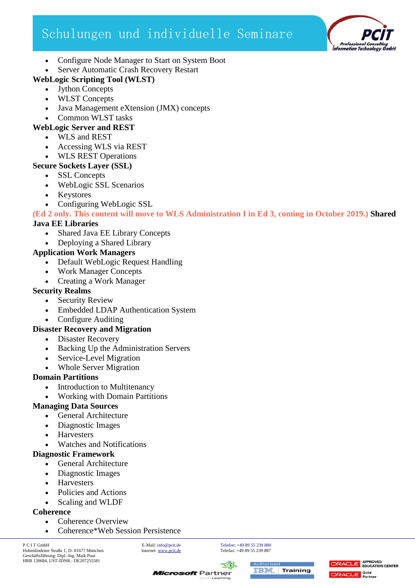# Schulungen und individuelle Seminare



- Configure Node Manager to Start on System Boot
- Server Automatic Crash Recovery Restart

# **WebLogic Scripting Tool (WLST)**

Jython Concepts

- WLST Concepts
- Java Management eXtension (JMX) concepts
- Common WLST tasks

## **WebLogic Server and REST**

- WLS and REST
- Accessing WLS via REST
- WLS REST Operations

### **Secure Sockets Layer (SSL)**

- SSL Concepts
- WebLogic SSL Scenarios
- Keystores
- Configuring WebLogic SSL

**(Ed 2 only. This content will move to WLS Administration I in Ed 3, coming in October 2019.) Shared** 

### **Java EE Libraries**

- Shared Java EE Library Concepts
- Deploying a Shared Library

### **Application Work Managers**

- Default WebLogic Request Handling
- Work Manager Concepts
- Creating a Work Manager

### **Security Realms**

- Security Review
- Embedded LDAP Authentication System
- Configure Auditing

## **Disaster Recovery and Migration**

- Disaster Recovery
- Backing Up the Administration Servers
- Service-Level Migration
- Whole Server Migration

## **Domain Partitions**

- Introduction to Multitenancy
- Working with Domain Partitions

## **Managing Data Sources**

- General Architecture
- Diagnostic Images
- Harvesters
- Watches and Notifications

## **Diagnostic Framework**

- General Architecture
- Diagnostic Images
- **Harvesters**
- Policies and Actions
- Scaling and WLDF

### **Coherence**

- Coherence Overview
- Coherence\*Web Session Persistence

**Microsoft** Partner